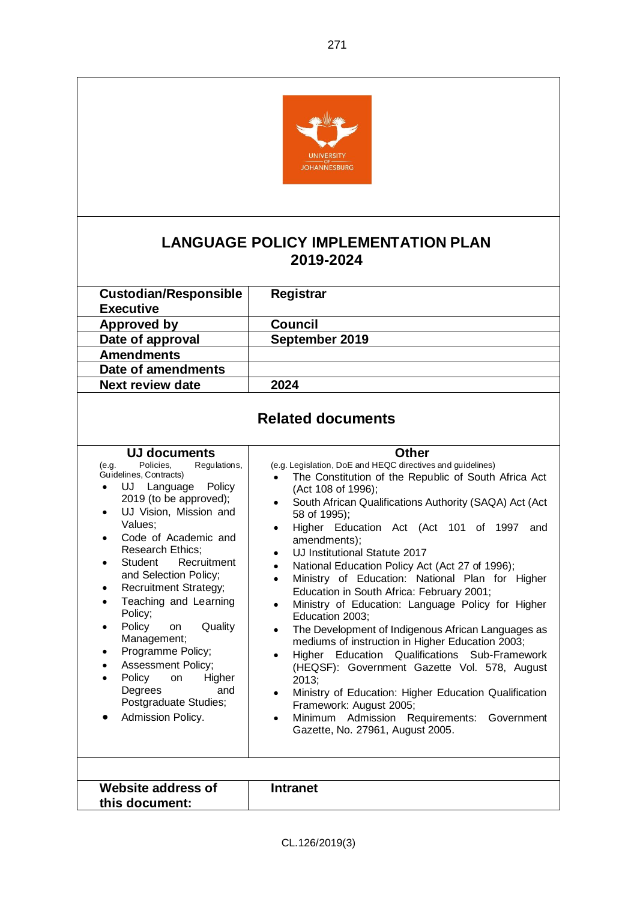

## **LANGUAGE POLICY IMPLEMENTATION PLAN 2019-2024**

| <b>Custodian/Responsible</b><br><b>Executive</b>                                                                                                                                                                       | Registrar                                                                                                                                                                                                                                                                                                    |  |
|------------------------------------------------------------------------------------------------------------------------------------------------------------------------------------------------------------------------|--------------------------------------------------------------------------------------------------------------------------------------------------------------------------------------------------------------------------------------------------------------------------------------------------------------|--|
| <b>Approved by</b>                                                                                                                                                                                                     | Council                                                                                                                                                                                                                                                                                                      |  |
| Date of approval                                                                                                                                                                                                       | September 2019                                                                                                                                                                                                                                                                                               |  |
| <b>Amendments</b>                                                                                                                                                                                                      |                                                                                                                                                                                                                                                                                                              |  |
| Date of amendments                                                                                                                                                                                                     |                                                                                                                                                                                                                                                                                                              |  |
| Next review date                                                                                                                                                                                                       | 2024                                                                                                                                                                                                                                                                                                         |  |
| <b>Related documents</b>                                                                                                                                                                                               |                                                                                                                                                                                                                                                                                                              |  |
| UJ documents<br>Policies,<br>Regulations,<br>(e.g.<br>Guidelines, Contracts)<br>Language Policy<br>UJ<br>$\bullet$<br>2019 (to be approved);<br>UJ Vision, Mission and<br>$\bullet$<br>Values;<br>Code of Academic and | <b>Other</b><br>(e.g. Legislation, DoE and HEQC directives and guidelines)<br>The Constitution of the Republic of South Africa Act<br>(Act 108 of 1996);<br>South African Qualifications Authority (SAQA) Act (Act<br>$\bullet$<br>58 of 1995);<br>Higher Education Act (Act 101 of 1997<br>and<br>$\bullet$ |  |
|                                                                                                                                                                                                                        | amendments);                                                                                                                                                                                                                                                                                                 |  |

Research Ethics;

Policy;

Management; • Programme Policy; Assessment Policy; Policy on Higher Degrees and Postgraduate Studies; Admission Policy.

Student Recruitment and Selection Policy; • Recruitment Strategy; • Teaching and Learning

Policy on Quality

- UJ Institutional Statute 2017
- National Education Policy Act (Act 27 of 1996);
- Ministry of Education: National Plan for Higher Education in South Africa: February 2001;
- Ministry of Education: Language Policy for Higher Education 2003;
- The Development of Indigenous African Languages as mediums of instruction in Higher Education 2003;
- Higher Education Qualifications Sub-Framework (HEQSF): Government Gazette Vol. 578, August 2013;
- Ministry of Education: Higher Education Qualification Framework: August 2005;
- Minimum Admission Requirements: Government Gazette, No. 27961, August 2005.

| Website address of<br>this document: | <b>Intranet</b> |  |
|--------------------------------------|-----------------|--|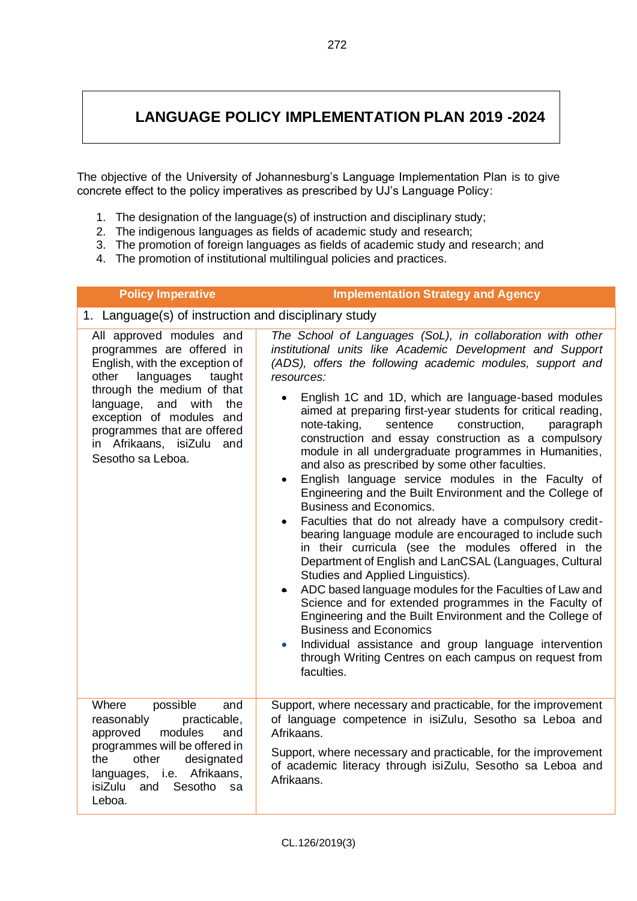## **LANGUAGE POLICY IMPLEMENTATION PLAN 2019 -2024**

The objective of the University of Johannesburg's Language Implementation Plan is to give concrete effect to the policy imperatives as prescribed by UJ's Language Policy:

- 1. The designation of the language(s) of instruction and disciplinary study;
- 2. The indigenous languages as fields of academic study and research;
- 3. The promotion of foreign languages as fields of academic study and research; and
- 4. The promotion of institutional multilingual policies and practices.

| <b>Policy Imperative</b>                                                                                                                                                                                                                                                                           | <b>Implementation Strategy and Agency</b>                                                                                                                                                                                                                                                                                                                                                                                                                                                                                                                                                                                                                                                                                                                                                                                                                                                                                                                                                                                                                                                                                                                                                                                                                                                                                                           |
|----------------------------------------------------------------------------------------------------------------------------------------------------------------------------------------------------------------------------------------------------------------------------------------------------|-----------------------------------------------------------------------------------------------------------------------------------------------------------------------------------------------------------------------------------------------------------------------------------------------------------------------------------------------------------------------------------------------------------------------------------------------------------------------------------------------------------------------------------------------------------------------------------------------------------------------------------------------------------------------------------------------------------------------------------------------------------------------------------------------------------------------------------------------------------------------------------------------------------------------------------------------------------------------------------------------------------------------------------------------------------------------------------------------------------------------------------------------------------------------------------------------------------------------------------------------------------------------------------------------------------------------------------------------------|
| 1. Language(s) of instruction and disciplinary study                                                                                                                                                                                                                                               |                                                                                                                                                                                                                                                                                                                                                                                                                                                                                                                                                                                                                                                                                                                                                                                                                                                                                                                                                                                                                                                                                                                                                                                                                                                                                                                                                     |
| All approved modules and<br>programmes are offered in<br>English, with the exception of<br>other<br>languages<br>taught<br>through the medium of that<br>language, and with<br>the<br>exception of modules and<br>programmes that are offered<br>in Afrikaans, isiZulu<br>and<br>Sesotho sa Leboa. | The School of Languages (SoL), in collaboration with other<br>institutional units like Academic Development and Support<br>(ADS), offers the following academic modules, support and<br>resources:<br>English 1C and 1D, which are language-based modules<br>aimed at preparing first-year students for critical reading,<br>note-taking,<br>sentence<br>construction,<br>paragraph<br>construction and essay construction as a compulsory<br>module in all undergraduate programmes in Humanities,<br>and also as prescribed by some other faculties.<br>English language service modules in the Faculty of<br>$\bullet$<br>Engineering and the Built Environment and the College of<br><b>Business and Economics.</b><br>Faculties that do not already have a compulsory credit-<br>bearing language module are encouraged to include such<br>in their curricula (see the modules offered in the<br>Department of English and LanCSAL (Languages, Cultural<br>Studies and Applied Linguistics).<br>ADC based language modules for the Faculties of Law and<br>Science and for extended programmes in the Faculty of<br>Engineering and the Built Environment and the College of<br><b>Business and Economics</b><br>Individual assistance and group language intervention<br>through Writing Centres on each campus on request from<br>faculties. |
| Where<br>possible<br>and<br>reasonably<br>practicable,<br>approved<br>modules<br>and<br>programmes will be offered in<br>the<br>other<br>designated<br>languages, i.e. Afrikaans,<br>and Sesotho<br>isiZulu<br>sa<br>Leboa.                                                                        | Support, where necessary and practicable, for the improvement<br>of language competence in isiZulu, Sesotho sa Leboa and<br>Afrikaans.<br>Support, where necessary and practicable, for the improvement<br>of academic literacy through isiZulu, Sesotho sa Leboa and<br>Afrikaans.                                                                                                                                                                                                                                                                                                                                                                                                                                                                                                                                                                                                                                                                                                                                                                                                                                                                                                                                                                                                                                                                 |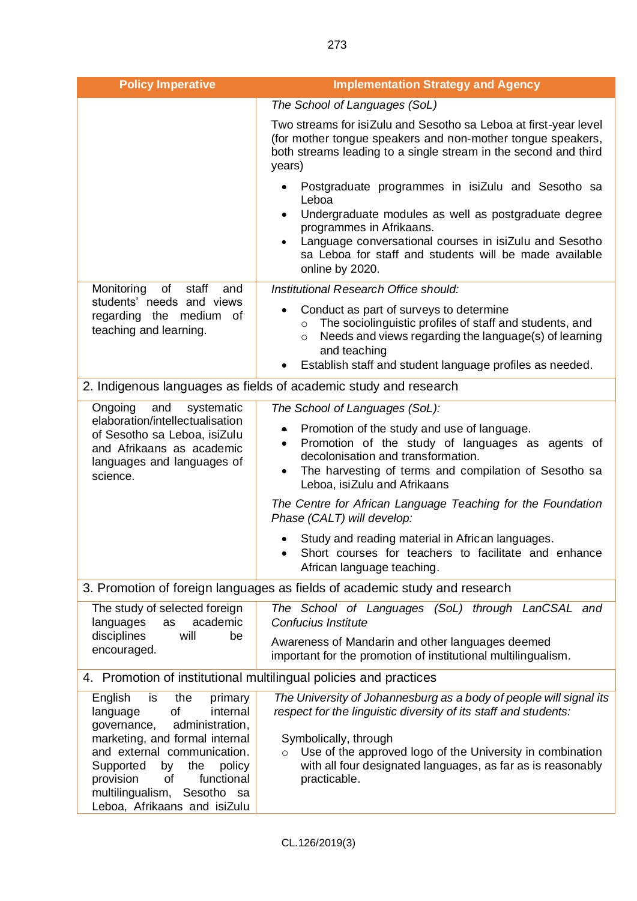| <b>Policy Imperative</b>                                                                                                                                                                                                                                                       | <b>Implementation Strategy and Agency</b>                                                                                                                                                                                                                                                                  |
|--------------------------------------------------------------------------------------------------------------------------------------------------------------------------------------------------------------------------------------------------------------------------------|------------------------------------------------------------------------------------------------------------------------------------------------------------------------------------------------------------------------------------------------------------------------------------------------------------|
|                                                                                                                                                                                                                                                                                | The School of Languages (SoL)                                                                                                                                                                                                                                                                              |
|                                                                                                                                                                                                                                                                                | Two streams for isiZulu and Sesotho sa Leboa at first-year level<br>(for mother tongue speakers and non-mother tongue speakers,<br>both streams leading to a single stream in the second and third<br>years)                                                                                               |
|                                                                                                                                                                                                                                                                                | Postgraduate programmes in isiZulu and Sesotho sa<br>Leboa<br>Undergraduate modules as well as postgraduate degree<br>programmes in Afrikaans.<br>Language conversational courses in isiZulu and Sesotho<br>sa Leboa for staff and students will be made available<br>online by 2020.                      |
| of<br>staff<br>Monitoring<br>and                                                                                                                                                                                                                                               | Institutional Research Office should:                                                                                                                                                                                                                                                                      |
| students' needs and views<br>regarding the medium of<br>teaching and learning.                                                                                                                                                                                                 | Conduct as part of surveys to determine<br>$\bullet$<br>The sociolinguistic profiles of staff and students, and<br>$\circ$<br>Needs and views regarding the language(s) of learning<br>$\circ$<br>and teaching<br>Establish staff and student language profiles as needed.                                 |
|                                                                                                                                                                                                                                                                                | 2. Indigenous languages as fields of academic study and research                                                                                                                                                                                                                                           |
| Ongoing<br>and<br>systematic                                                                                                                                                                                                                                                   | The School of Languages (SoL):                                                                                                                                                                                                                                                                             |
| elaboration/intellectualisation<br>of Sesotho sa Leboa, isiZulu<br>and Afrikaans as academic<br>languages and languages of<br>science.                                                                                                                                         | Promotion of the study and use of language.<br>۰<br>Promotion of the study of languages as agents of<br>$\bullet$<br>decolonisation and transformation.<br>The harvesting of terms and compilation of Sesotho sa<br>Leboa, isiZulu and Afrikaans                                                           |
|                                                                                                                                                                                                                                                                                | The Centre for African Language Teaching for the Foundation<br>Phase (CALT) will develop:                                                                                                                                                                                                                  |
|                                                                                                                                                                                                                                                                                | Study and reading material in African languages.<br>Short courses for teachers to facilitate and enhance<br>African language teaching.                                                                                                                                                                     |
|                                                                                                                                                                                                                                                                                | 3. Promotion of foreign languages as fields of academic study and research                                                                                                                                                                                                                                 |
| The study of selected foreign<br>academic<br>languages<br>as<br>disciplines<br>will<br>be<br>encouraged.                                                                                                                                                                       | The School of Languages (SoL) through LanCSAL and<br>Confucius Institute                                                                                                                                                                                                                                   |
|                                                                                                                                                                                                                                                                                | Awareness of Mandarin and other languages deemed<br>important for the promotion of institutional multilingualism.                                                                                                                                                                                          |
| 4. Promotion of institutional multilingual policies and practices                                                                                                                                                                                                              |                                                                                                                                                                                                                                                                                                            |
| is<br>the<br>English<br>primary<br><b>of</b><br>language<br>internal<br>administration,<br>governance,<br>marketing, and formal internal<br>and external communication.<br>Supported<br>the<br>by<br>policy<br>of<br>functional<br>provision<br>multilingualism,<br>Sesotho sa | The University of Johannesburg as a body of people will signal its<br>respect for the linguistic diversity of its staff and students:<br>Symbolically, through<br>Use of the approved logo of the University in combination<br>with all four designated languages, as far as is reasonably<br>practicable. |
| Leboa, Afrikaans and isiZulu                                                                                                                                                                                                                                                   |                                                                                                                                                                                                                                                                                                            |